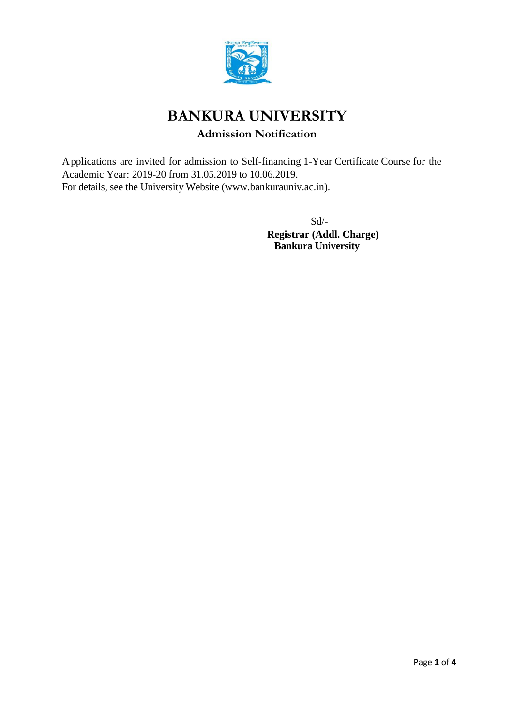

# **BANKURA UNIVERSITY**

## **Admission Notification**

Applications are invited for admission to Self-financing 1-Year Certificate Course for the Academic Year: 2019-20 from 31.05.2019 to 10.06.2019. For details, see the University Website [\(www.bankurauniv.ac.in\).](http://www.bankurauniv.ac.in/)

> Sd/- **Registrar (Addl. Charge) Bankura University**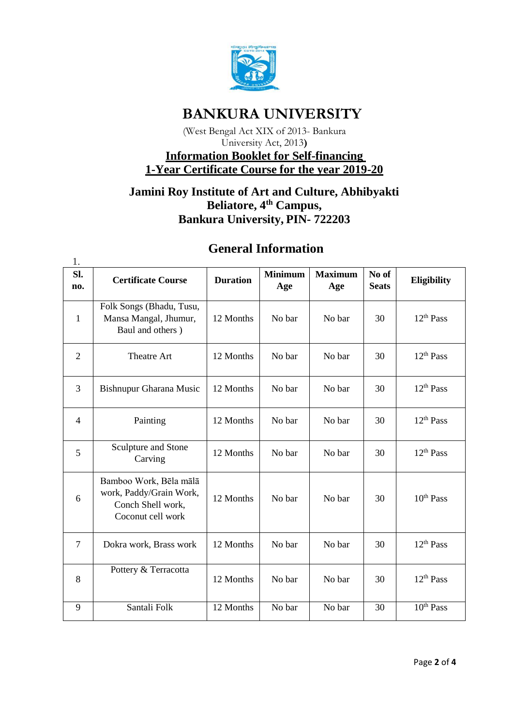

## **BANKURA UNIVERSITY**

(West Bengal Act XIX of 2013- Bankura University Act, 2013**)**

## **Information Booklet for Self-financing 1-Year Certificate Course for the year 2019-20**

## **Jamini Roy Institute of Art and Culture, Abhibyakti Beliatore, 4th Campus, Bankura University, PIN- 722203**

| 1.             |                                                                                             |                 |                       |                       |                       |                       |
|----------------|---------------------------------------------------------------------------------------------|-----------------|-----------------------|-----------------------|-----------------------|-----------------------|
| Sl.<br>no.     | <b>Certificate Course</b>                                                                   | <b>Duration</b> | <b>Minimum</b><br>Age | <b>Maximum</b><br>Age | No of<br><b>Seats</b> | Eligibility           |
| $\mathbf{1}$   | Folk Songs (Bhadu, Tusu,<br>Mansa Mangal, Jhumur,<br>Baul and others)                       | 12 Months       | No bar                | No bar                | 30                    | 12 <sup>th</sup> Pass |
| $\overline{2}$ | <b>Theatre Art</b>                                                                          | 12 Months       | No bar                | No bar                | 30                    | 12 <sup>th</sup> Pass |
| $\overline{3}$ | Bishnupur Gharana Music                                                                     | 12 Months       | No bar                | No bar                | 30                    | 12 <sup>th</sup> Pass |
| $\overline{4}$ | Painting                                                                                    | 12 Months       | No bar                | No bar                | 30                    | 12 <sup>th</sup> Pass |
| 5              | Sculpture and Stone<br>Carving                                                              | 12 Months       | No bar                | No bar                | 30                    | 12 <sup>th</sup> Pass |
| 6              | Bamboo Work, Bēla mālā<br>work, Paddy/Grain Work,<br>Conch Shell work,<br>Coconut cell work | 12 Months       | No bar                | No bar                | 30                    | $10^{th}$ Pass        |
| $\overline{7}$ | Dokra work, Brass work                                                                      | 12 Months       | No bar                | No bar                | 30                    | 12 <sup>th</sup> Pass |
| 8              | Pottery & Terracotta                                                                        | 12 Months       | No bar                | No bar                | 30                    | 12 <sup>th</sup> Pass |
| 9              | Santali Folk                                                                                | 12 Months       | No bar                | No bar                | 30                    | 10 <sup>th</sup> Pass |

## **General Information**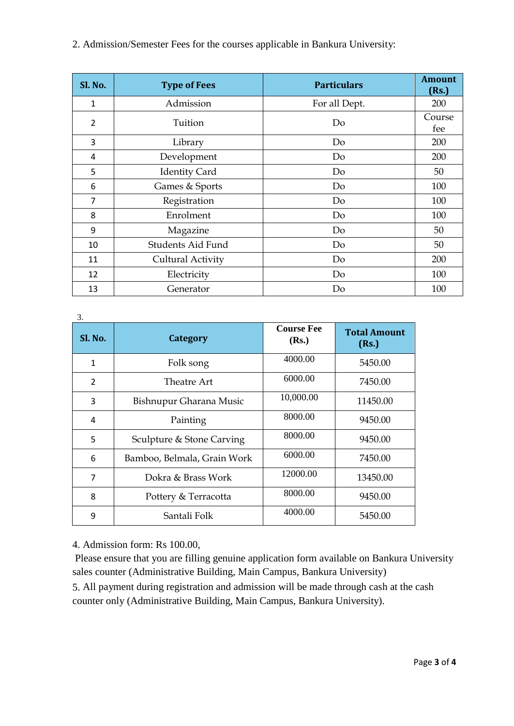2. Admission/Semester Fees for the courses applicable in Bankura University:

| <b>Sl. No.</b> | <b>Type of Fees</b>  | <b>Particulars</b> | <b>Amount</b><br>(Rs.) |
|----------------|----------------------|--------------------|------------------------|
| 1              | Admission            | For all Dept.      | 200                    |
| $\overline{2}$ | Tuition              | Do                 | Course<br>fee          |
| 3              | Library              | Do                 | 200                    |
| 4              | Development          | Do                 | 200                    |
| 5              | <b>Identity Card</b> | Do                 | 50                     |
| 6              | Games & Sports       | Do                 | 100                    |
| 7              | Registration         | Do                 | 100                    |
| 8              | Enrolment            | Do                 | 100                    |
| 9              | Magazine             | Do                 | 50                     |
| 10             | Students Aid Fund    | Do                 | 50                     |
| 11             | Cultural Activity    | Do                 | 200                    |
| 12             | Electricity          | Do                 | 100                    |
| 13             | Generator            | Do                 | 100                    |

| 3.           |                             |                            |                              |  |  |
|--------------|-----------------------------|----------------------------|------------------------------|--|--|
| Sl. No.      | Category                    | <b>Course Fee</b><br>(Rs.) | <b>Total Amount</b><br>(Rs.) |  |  |
| $\mathbf{1}$ | Folk song                   | 4000.00                    | 5450.00                      |  |  |
| 2            | Theatre Art                 | 6000.00                    | 7450.00                      |  |  |
| 3            | Bishnupur Gharana Music     | 10,000.00                  | 11450.00                     |  |  |
| 4            | Painting                    | 8000.00                    | 9450.00                      |  |  |
| 5            | Sculpture & Stone Carving   | 8000.00                    | 9450.00                      |  |  |
| 6            | Bamboo, Belmala, Grain Work | 6000.00                    | 7450.00                      |  |  |
| 7            | Dokra & Brass Work          | 12000.00                   | 13450.00                     |  |  |
| 8            | Pottery & Terracotta        | 8000.00                    | 9450.00                      |  |  |
| 9            | Santali Folk                | 4000.00                    | 5450.00                      |  |  |

4. Admission form: Rs 100.00,

Please ensure that you are filling genuine application form available on Bankura University sales counter (Administrative Building, Main Campus, Bankura University)

5. All payment during registration and admission will be made through cash at the cash counter only (Administrative Building, Main Campus, Bankura University).